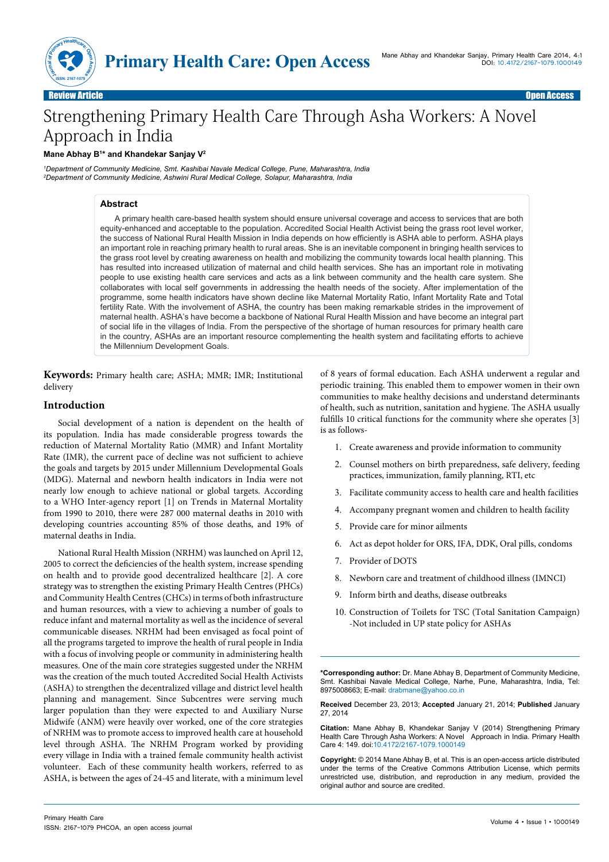

# Strengthening Primary Health Care Through Asha Workers: A Novel Approach in India

## **Mane Abhay B1 \* and Khandekar Sanjay V2**

*1 Department of Community Medicine, Smt. Kashibai Navale Medical College, Pune, Maharashtra, India 2 Department of Community Medicine, Ashwini Rural Medical College, Solapur, Maharashtra, India*

# **Abstract**

A primary health care-based health system should ensure universal coverage and access to services that are both equity-enhanced and acceptable to the population. Accredited Social Health Activist being the grass root level worker, the success of National Rural Health Mission in India depends on how efficiently is ASHA able to perform. ASHA plays an important role in reaching primary health to rural areas. She is an inevitable component in bringing health services to the grass root level by creating awareness on health and mobilizing the community towards local health planning. This has resulted into increased utilization of maternal and child health services. She has an important role in motivating people to use existing health care services and acts as a link between community and the health care system. She collaborates with local self governments in addressing the health needs of the society. After implementation of the programme, some health indicators have shown decline like Maternal Mortality Ratio, Infant Mortality Rate and Total fertility Rate. With the involvement of ASHA, the country has been making remarkable strides in the improvement of maternal health. ASHA's have become a backbone of National Rural Health Mission and have become an integral part of social life in the villages of India. From the perspective of the shortage of human resources for primary health care in the country, ASHAs are an important resource complementing the health system and facilitating efforts to achieve the Millennium Development Goals.

**Keywords:** Primary health care; ASHA; MMR; IMR; Institutional delivery

# **Introduction**

Social development of a nation is dependent on the health of its population. India has made considerable progress towards the reduction of Maternal Mortality Ratio (MMR) and Infant Mortality Rate (IMR), the current pace of decline was not sufficient to achieve the goals and targets by 2015 under Millennium Developmental Goals (MDG). Maternal and newborn health indicators in India were not nearly low enough to achieve national or global targets. According to a WHO Inter-agency report [1] on Trends in Maternal Mortality from 1990 to 2010, there were 287 000 maternal deaths in 2010 with developing countries accounting 85% of those deaths, and 19% of maternal deaths in India.

National Rural Health Mission (NRHM) was launched on April 12, 2005 to correct the deficiencies of the health system, increase spending on health and to provide good decentralized healthcare [2]. A core strategy was to strengthen the existing Primary Health Centres (PHCs) and Community Health Centres (CHCs) in terms of both infrastructure and human resources, with a view to achieving a number of goals to reduce infant and maternal mortality as well as the incidence of several communicable diseases. NRHM had been envisaged as focal point of all the programs targeted to improve the health of rural people in India with a focus of involving people or community in administering health measures. One of the main core strategies suggested under the NRHM was the creation of the much touted Accredited Social Health Activists (ASHA) to strengthen the decentralized village and district level health planning and management. Since Subcentres were serving much larger population than they were expected to and Auxiliary Nurse Midwife (ANM) were heavily over worked, one of the core strategies of NRHM was to promote access to improved health care at household level through ASHA. The NRHM Program worked by providing every village in India with a trained female community health activist volunteer. Each of these community health workers, referred to as ASHA, is between the ages of 24-45 and literate, with a minimum level

of 8 years of formal education. Each ASHA underwent a regular and periodic training. This enabled them to empower women in their own communities to make healthy decisions and understand determinants of health, such as nutrition, sanitation and hygiene. The ASHA usually fulfills 10 critical functions for the community where she operates [3] is as follows-

- 1. Create awareness and provide information to community
- 2. Counsel mothers on birth preparedness, safe delivery, feeding practices, immunization, family planning, RTI, etc
- 3. Facilitate community access to health care and health facilities
- 4. Accompany pregnant women and children to health facility
- 5. Provide care for minor ailments
- 6. Act as depot holder for ORS, IFA, DDK, Oral pills, condoms
- 7. Provider of DOTS
- 8. Newborn care and treatment of childhood illness (IMNCI)
- 9. Inform birth and deaths, disease outbreaks
- 10. Construction of Toilets for TSC (Total Sanitation Campaign) -Not included in UP state policy for ASHAs

**\*Corresponding author:** Dr. Mane Abhay B, Department of Community Medicine, Smt. Kashibai Navale Medical College, Narhe, Pune, Maharashtra, India, Tel: 8975008663; E-mail: drabmane@yahoo.co.in

**Received** December 23, 2013; **Accepted** January 21, 2014; **Published** January 27, 2014

**Citation:** Mane Abhay B, Khandekar Sanjay V (2014) Strengthening Primary Health Care Through Asha Workers: A Novel Approach in India. Primary Health Care 4: 149. doi:10.4172/2167-1079.1000149

**Copyright:** © 2014 Mane Abhay B, et al. This is an open-access article distributed under the terms of the Creative Commons Attribution License, which permits unrestricted use, distribution, and reproduction in any medium, provided the original author and source are credited.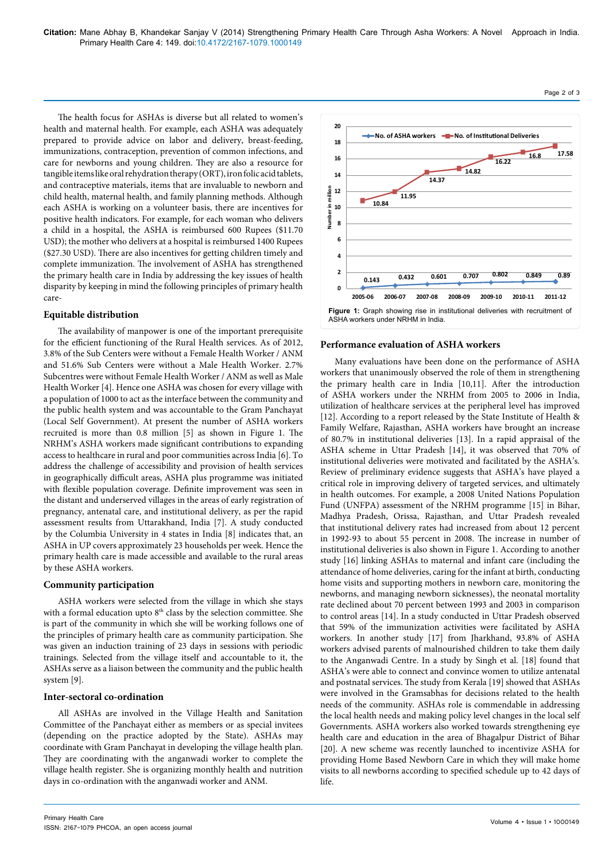The health focus for ASHAs is diverse but all related to women's health and maternal health. For example, each ASHA was adequately prepared to provide advice on labor and delivery, breast-feeding, immunizations, contraception, prevention of common infections, and care for newborns and young children. They are also a resource for tangible items like oral rehydration therapy (ORT), iron folic acid tablets, and contraceptive materials, items that are invaluable to newborn and child health, maternal health, and family planning methods. Although each ASHA is working on a volunteer basis, there are incentives for positive health indicators. For example, for each woman who delivers a child in a hospital, the ASHA is reimbursed 600 Rupees (\$11.70 USD); the mother who delivers at a hospital is reimbursed 1400 Rupees (\$27.30 USD). There are also incentives for getting children timely and complete immunization. The involvement of ASHA has strengthened the primary health care in India by addressing the key issues of health disparity by keeping in mind the following principles of primary health care-

## **Equitable distribution**

The availability of manpower is one of the important prerequisite for the efficient functioning of the Rural Health services. As of 2012, 3.8% of the Sub Centers were without a Female Health Worker / ANM and 51.6% Sub Centers were without a Male Health Worker. 2.7% Subcentres were without Female Health Worker / ANM as well as Male Health Worker [4]. Hence one ASHA was chosen for every village with a population of 1000 to act as the interface between the community and the public health system and was accountable to the Gram Panchayat (Local Self Government). At present the number of ASHA workers recruited is more than 0.8 million [5] as shown in Figure 1. The NRHM's ASHA workers made significant contributions to expanding access to healthcare in rural and poor communities across India [6]. To address the challenge of accessibility and provision of health services in geographically difficult areas, ASHA plus programme was initiated with flexible population coverage. Definite improvement was seen in the distant and underserved villages in the areas of early registration of pregnancy, antenatal care, and institutional delivery, as per the rapid assessment results from Uttarakhand, India [7]. A study conducted by the Columbia University in 4 states in India [8] indicates that, an ASHA in UP covers approximately 23 households per week. Hence the primary health care is made accessible and available to the rural areas by these ASHA workers.

## **Community participation**

ASHA workers were selected from the village in which she stays with a formal education upto 8<sup>th</sup> class by the selection committee. She is part of the community in which she will be working follows one of the principles of primary health care as community participation. She was given an induction training of 23 days in sessions with periodic trainings. Selected from the village itself and accountable to it, the ASHAs serve as a liaison between the community and the public health system [9].

## **Inter-sectoral co-ordination**

All ASHAs are involved in the Village Health and Sanitation Committee of the Panchayat either as members or as special invitees (depending on the practice adopted by the State). ASHAs may coordinate with Gram Panchayat in developing the village health plan. They are coordinating with the anganwadi worker to complete the village health register. She is organizing monthly health and nutrition days in co-ordination with the anganwadi worker and ANM.



## **Performance evaluation of ASHA workers**

Many evaluations have been done on the performance of ASHA workers that unanimously observed the role of them in strengthening the primary health care in India [10,11]. After the introduction of ASHA workers under the NRHM from 2005 to 2006 in India, utilization of healthcare services at the peripheral level has improved [12]. According to a report released by the State Institute of Health & Family Welfare, Rajasthan, ASHA workers have brought an increase of 80.7% in institutional deliveries [13]. In a rapid appraisal of the ASHA scheme in Uttar Pradesh [14], it was observed that 70% of institutional deliveries were motivated and facilitated by the ASHA's. Review of preliminary evidence suggests that ASHA's have played a critical role in improving delivery of targeted services, and ultimately in health outcomes. For example, a 2008 United Nations Population Fund (UNFPA) assessment of the NRHM programme [15] in Bihar, Madhya Pradesh, Orissa, Rajasthan, and Uttar Pradesh revealed that institutional delivery rates had increased from about 12 percent in 1992-93 to about 55 percent in 2008. The increase in number of institutional deliveries is also shown in Figure 1. According to another study [16] linking ASHAs to maternal and infant care (including the attendance of home deliveries, caring for the infant at birth, conducting home visits and supporting mothers in newborn care, monitoring the newborns, and managing newborn sicknesses), the neonatal mortality rate declined about 70 percent between 1993 and 2003 in comparison to control areas [14]. In a study conducted in Uttar Pradesh observed that 59% of the immunization activities were facilitated by ASHA workers. In another study [17] from Jharkhand, 93.8% of ASHA workers advised parents of malnourished children to take them daily to the Anganwadi Centre. In a study by Singh et al. [18] found that ASHA's were able to connect and convince women to utilize antenatal and postnatal services. The study from Kerala [19] showed that ASHAs were involved in the Gramsabhas for decisions related to the health needs of the community. ASHAs role is commendable in addressing the local health needs and making policy level changes in the local self Governments. ASHA workers also worked towards strengthening eye health care and education in the area of Bhagalpur District of Bihar [20]. A new scheme was recently launched to incentivize ASHA for providing Home Based Newborn Care in which they will make home visits to all newborns according to specified schedule up to 42 days of life.

Page 2 of 3